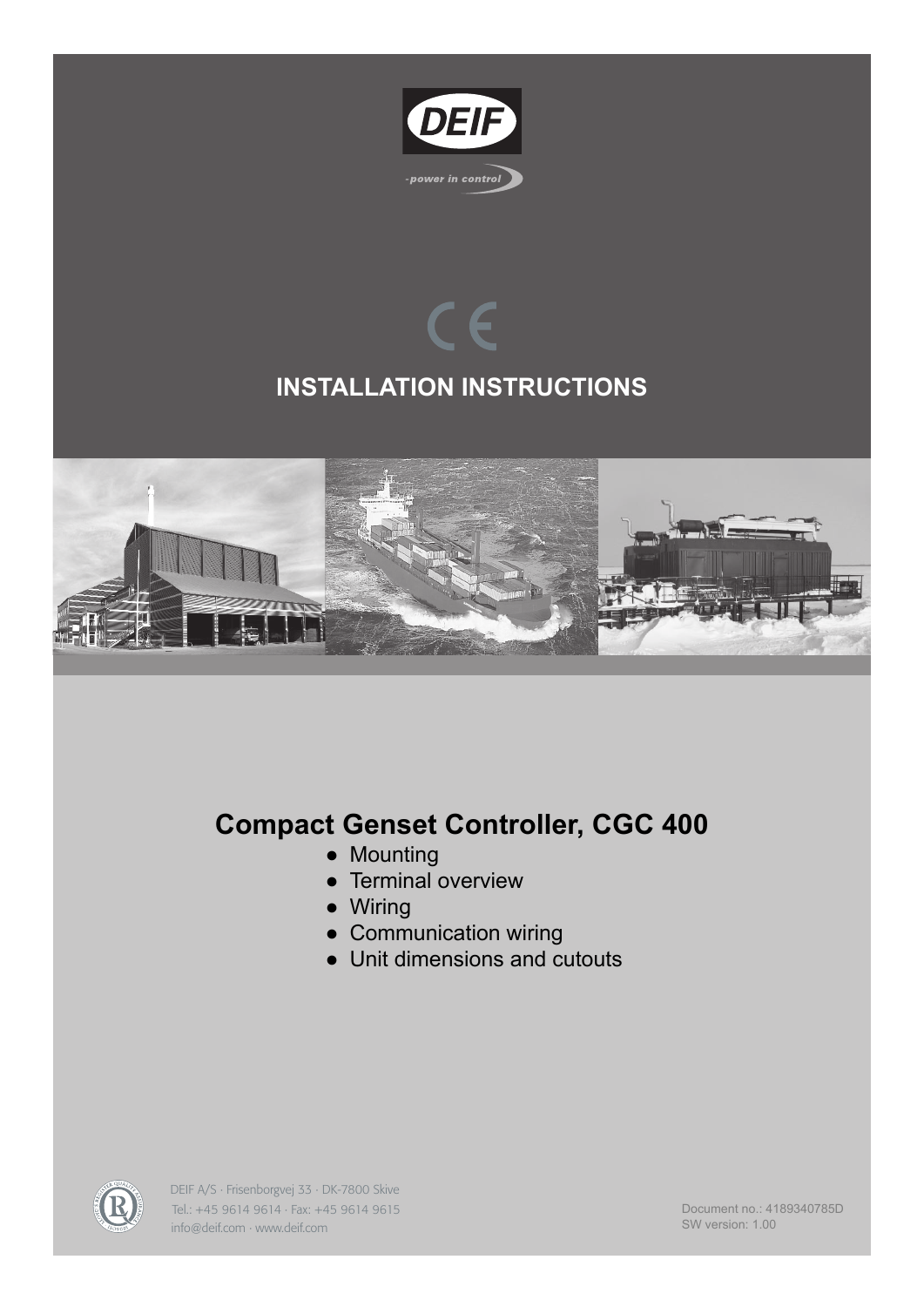

# $\epsilon$ **INSTALLATION INSTRUCTIONS**



## **Compact Genset Controller, CGC 400**

- Mounting
- Terminal overview
- Wiring
- Communication wiring
- Unit dimensions and cutouts



DEIF A/S · Frisenborgvej 33 · DK-7800 Skive Tel.: +45 9614 9614 · Fax: +45 9614 9615 info@deif.com · www.deif.com

Document no.: 4189340785D SW version: 1.00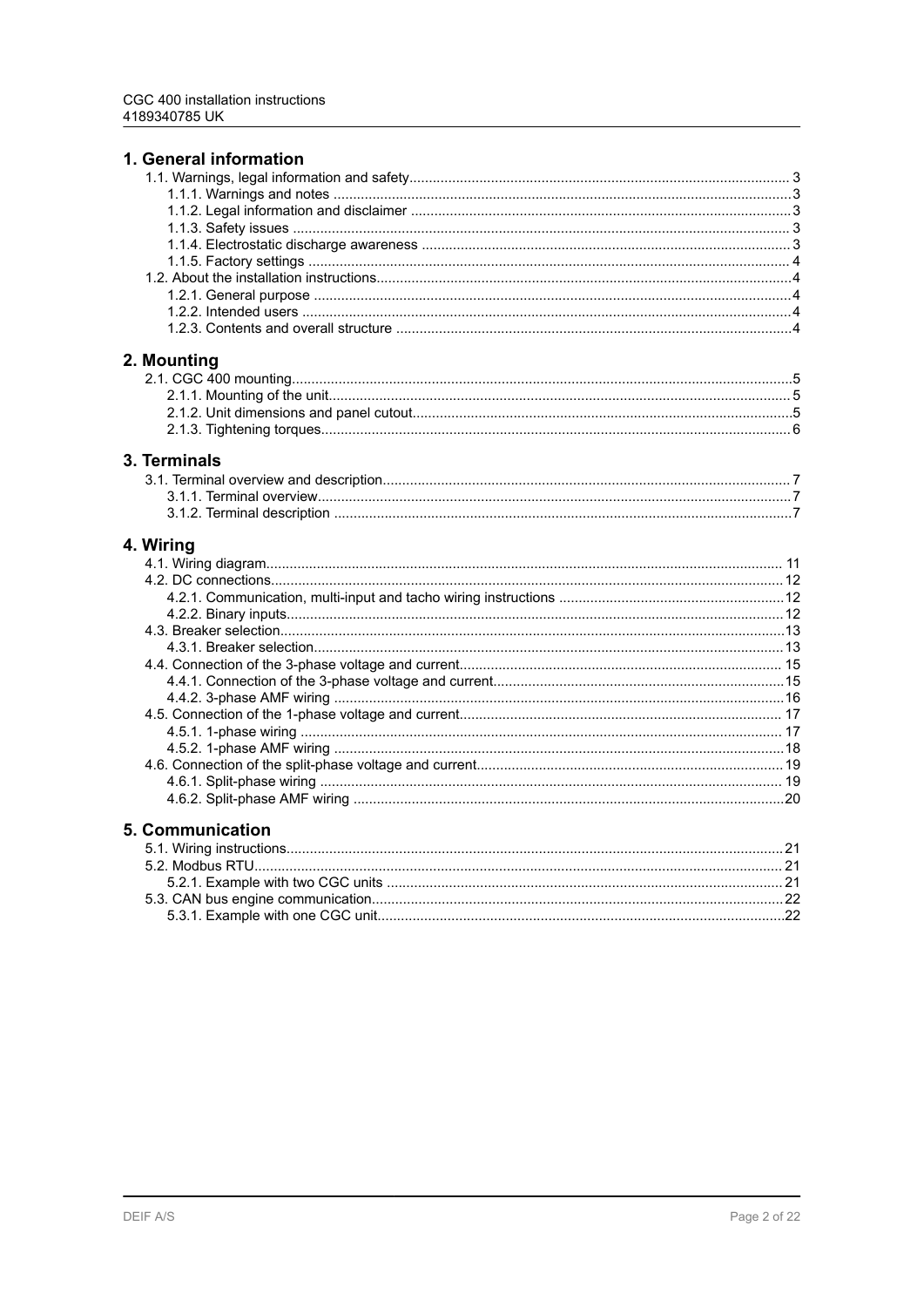| 1. General information  |    |
|-------------------------|----|
|                         |    |
|                         |    |
|                         |    |
|                         |    |
|                         |    |
|                         |    |
|                         |    |
|                         |    |
|                         |    |
|                         |    |
| 2. Mounting             |    |
|                         |    |
|                         |    |
|                         |    |
|                         |    |
|                         |    |
| 3. Terminals            |    |
|                         |    |
|                         |    |
|                         |    |
| 4. Wiring               |    |
|                         |    |
|                         |    |
|                         |    |
|                         |    |
|                         |    |
|                         |    |
|                         |    |
|                         |    |
|                         |    |
|                         |    |
|                         |    |
|                         |    |
|                         |    |
|                         |    |
|                         |    |
|                         |    |
| 5. Communication        |    |
| 5.1 Wiring inetructions | 21 |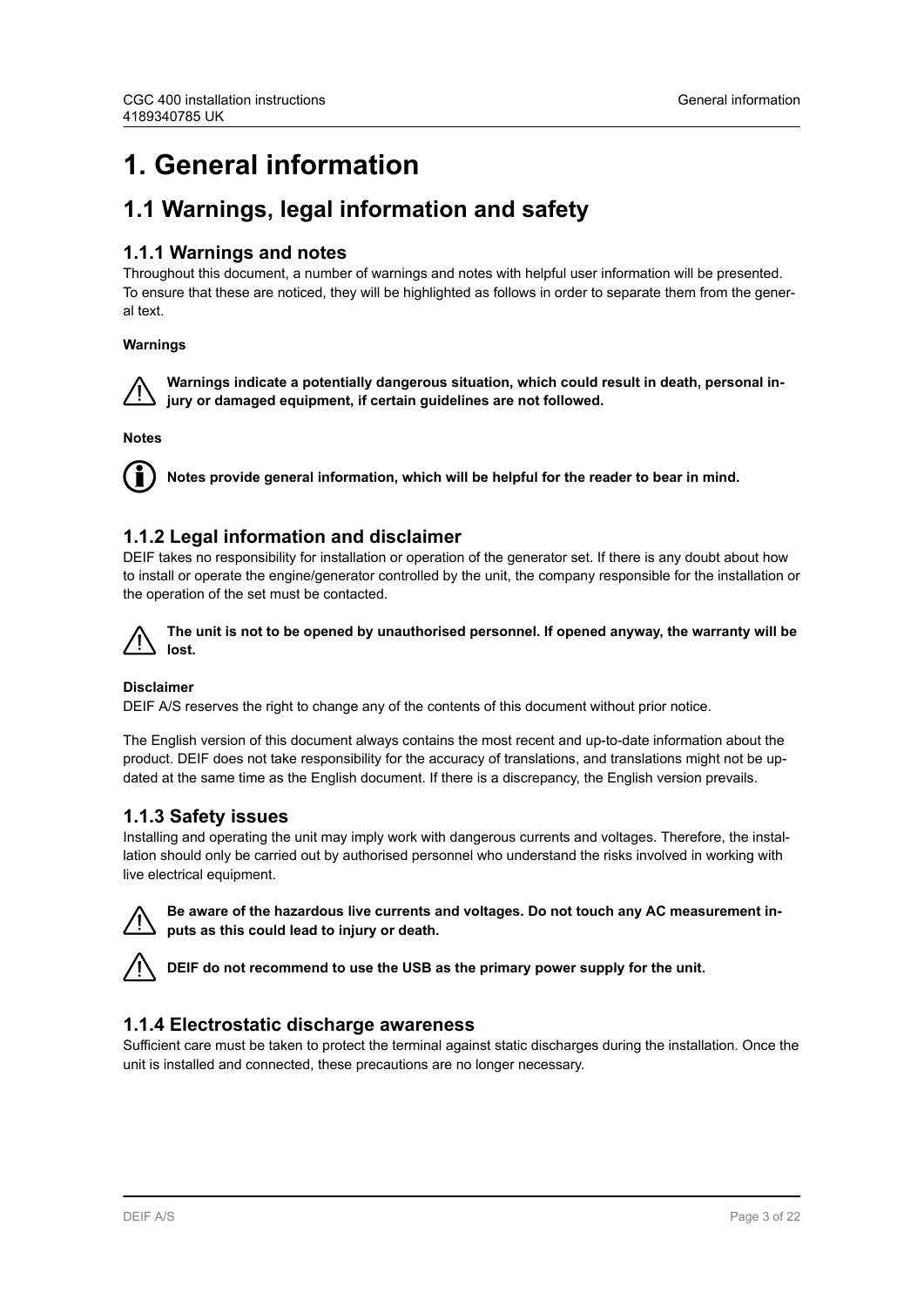## <span id="page-2-0"></span>**1. General information**

### **1.1 Warnings, legal information and safety**

#### **1.1.1 Warnings and notes**

Throughout this document, a number of warnings and notes with helpful user information will be presented. To ensure that these are noticed, they will be highlighted as follows in order to separate them from the general text.

#### **Warnings**

**Warnings indicate a potentially dangerous situation, which could result in death, personal injury or damaged equipment, if certain guidelines are not followed.**

**Notes**



**Notes provide general information, which will be helpful for the reader to bear in mind.**

### **1.1.2 Legal information and disclaimer**

DEIF takes no responsibility for installation or operation of the generator set. If there is any doubt about how to install or operate the engine/generator controlled by the unit, the company responsible for the installation or the operation of the set must be contacted.



#### **Disclaimer**

DEIF A/S reserves the right to change any of the contents of this document without prior notice.

The English version of this document always contains the most recent and up-to-date information about the product. DEIF does not take responsibility for the accuracy of translations, and translations might not be updated at the same time as the English document. If there is a discrepancy, the English version prevails.

#### **1.1.3 Safety issues**

Installing and operating the unit may imply work with dangerous currents and voltages. Therefore, the installation should only be carried out by authorised personnel who understand the risks involved in working with live electrical equipment.



**Be aware of the hazardous live currents and voltages. Do not touch any AC measurement inputs as this could lead to injury or death.**

**DEIF do not recommend to use the USB as the primary power supply for the unit.**

#### **1.1.4 Electrostatic discharge awareness**

Sufficient care must be taken to protect the terminal against static discharges during the installation. Once the unit is installed and connected, these precautions are no longer necessary.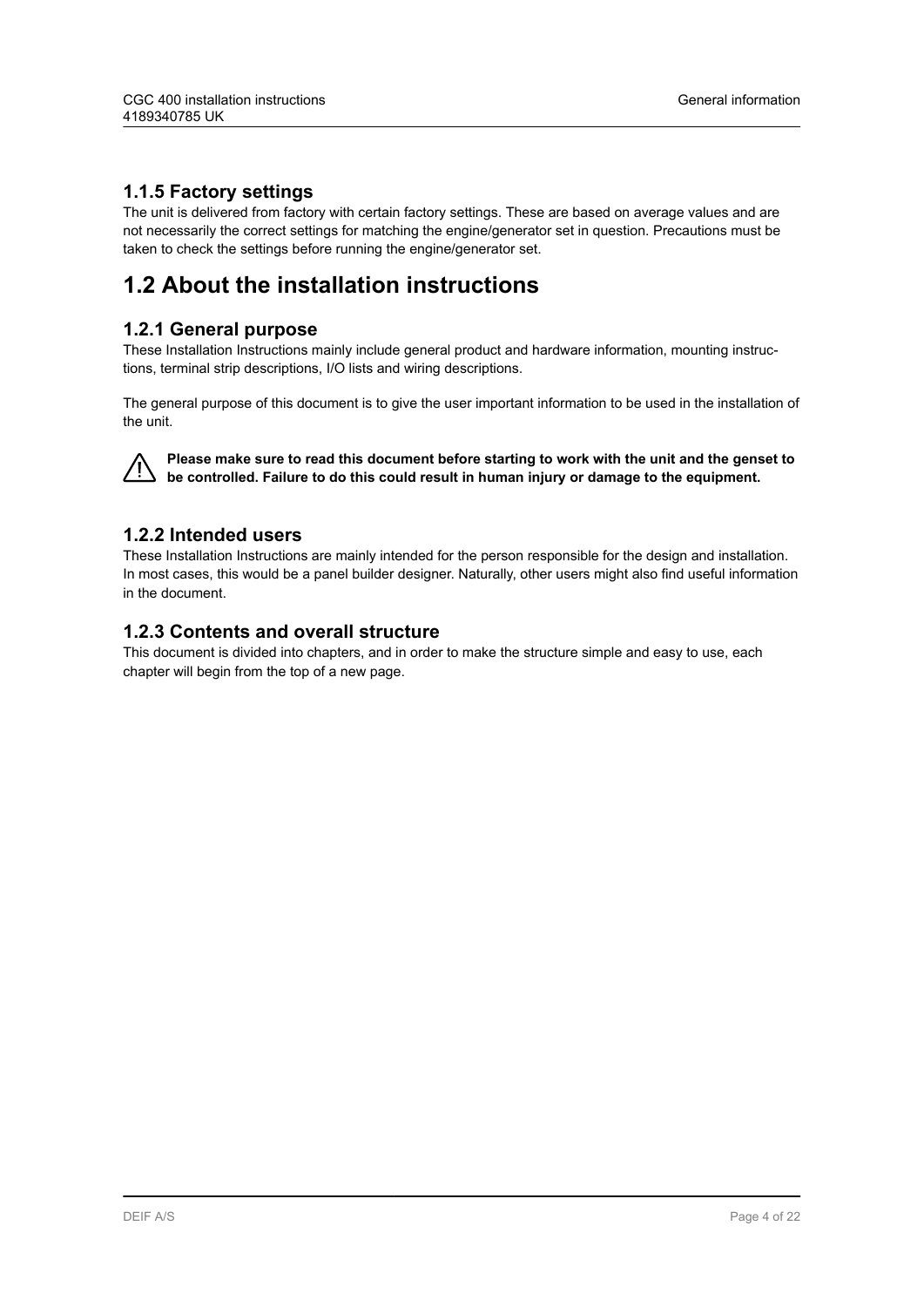#### <span id="page-3-0"></span>**1.1.5 Factory settings**

The unit is delivered from factory with certain factory settings. These are based on average values and are not necessarily the correct settings for matching the engine/generator set in question. Precautions must be taken to check the settings before running the engine/generator set.

### **1.2 About the installation instructions**

#### **1.2.1 General purpose**

These Installation Instructions mainly include general product and hardware information, mounting instructions, terminal strip descriptions, I/O lists and wiring descriptions.

The general purpose of this document is to give the user important information to be used in the installation of the unit.



**Please make sure to read this document before starting to work with the unit and the genset to be controlled. Failure to do this could result in human injury or damage to the equipment.**

#### **1.2.2 Intended users**

These Installation Instructions are mainly intended for the person responsible for the design and installation. In most cases, this would be a panel builder designer. Naturally, other users might also find useful information in the document.

#### **1.2.3 Contents and overall structure**

This document is divided into chapters, and in order to make the structure simple and easy to use, each chapter will begin from the top of a new page.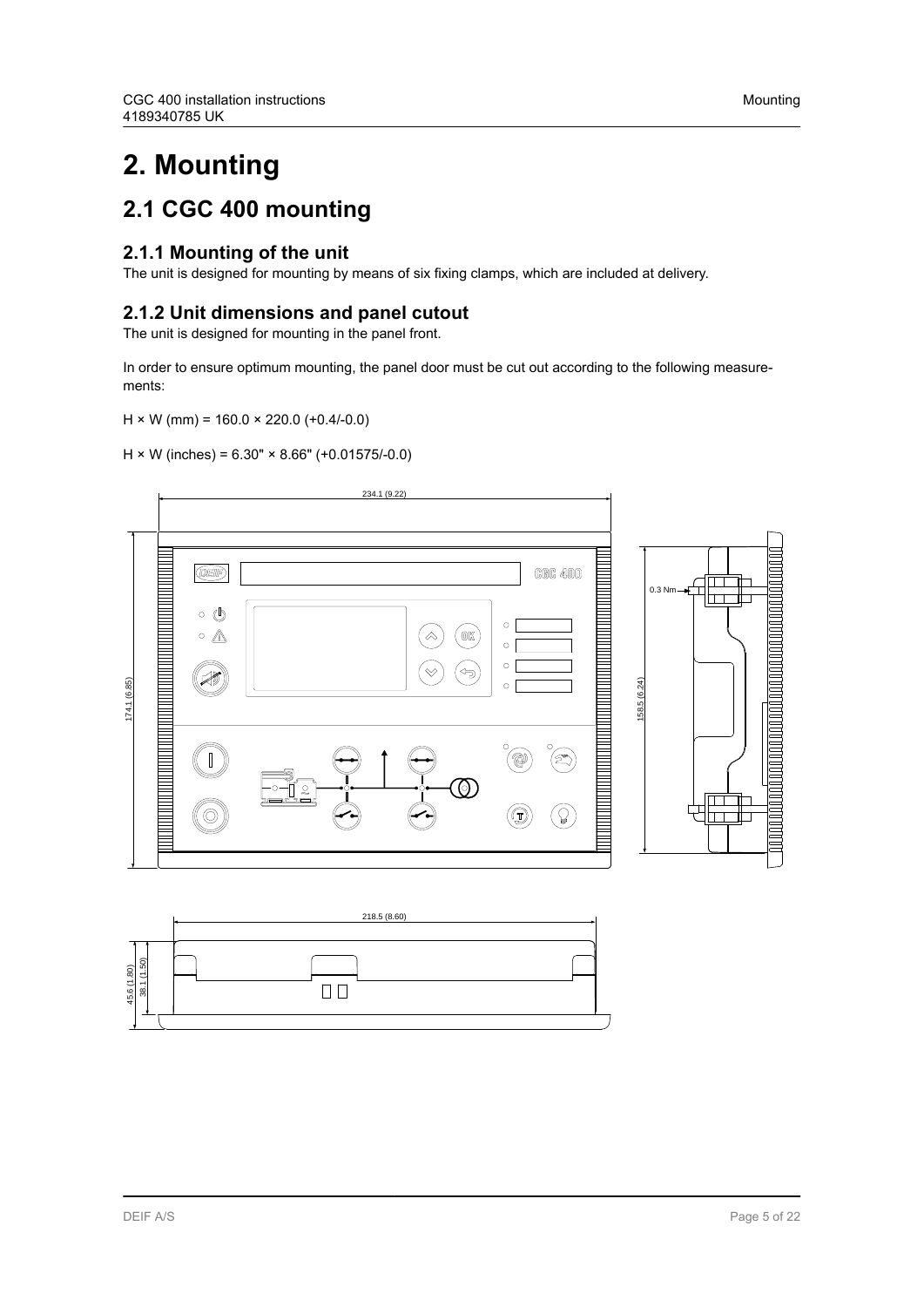## <span id="page-4-0"></span>**2. Mounting**

### **2.1 CGC 400 mounting**

### **2.1.1 Mounting of the unit**

The unit is designed for mounting by means of six fixing clamps, which are included at delivery.

### **2.1.2 Unit dimensions and panel cutout**

The unit is designed for mounting in the panel front.

In order to ensure optimum mounting, the panel door must be cut out according to the following measurements:

#### $H \times W$  (mm) = 160.0  $\times$  220.0 (+0.4/-0.0)

 $H \times W$  (inches) = 6.30"  $\times$  8.66" (+0.01575/-0.0)



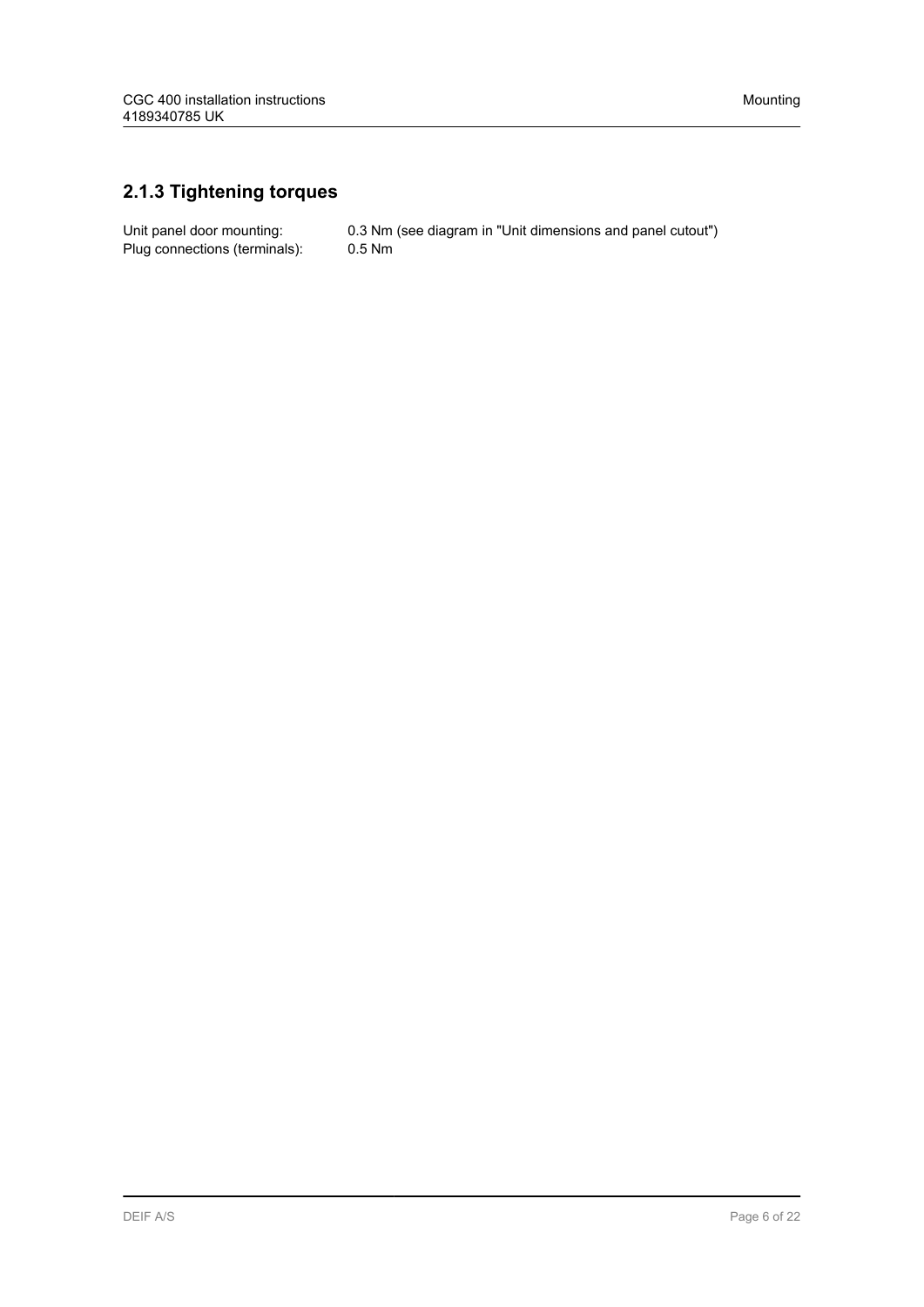### <span id="page-5-0"></span>**2.1.3 Tightening torques**

Plug connections (terminals): 0.5 Nm

Unit panel door mounting: 0.3 Nm (see diagram in "Unit dimensions and panel cutout")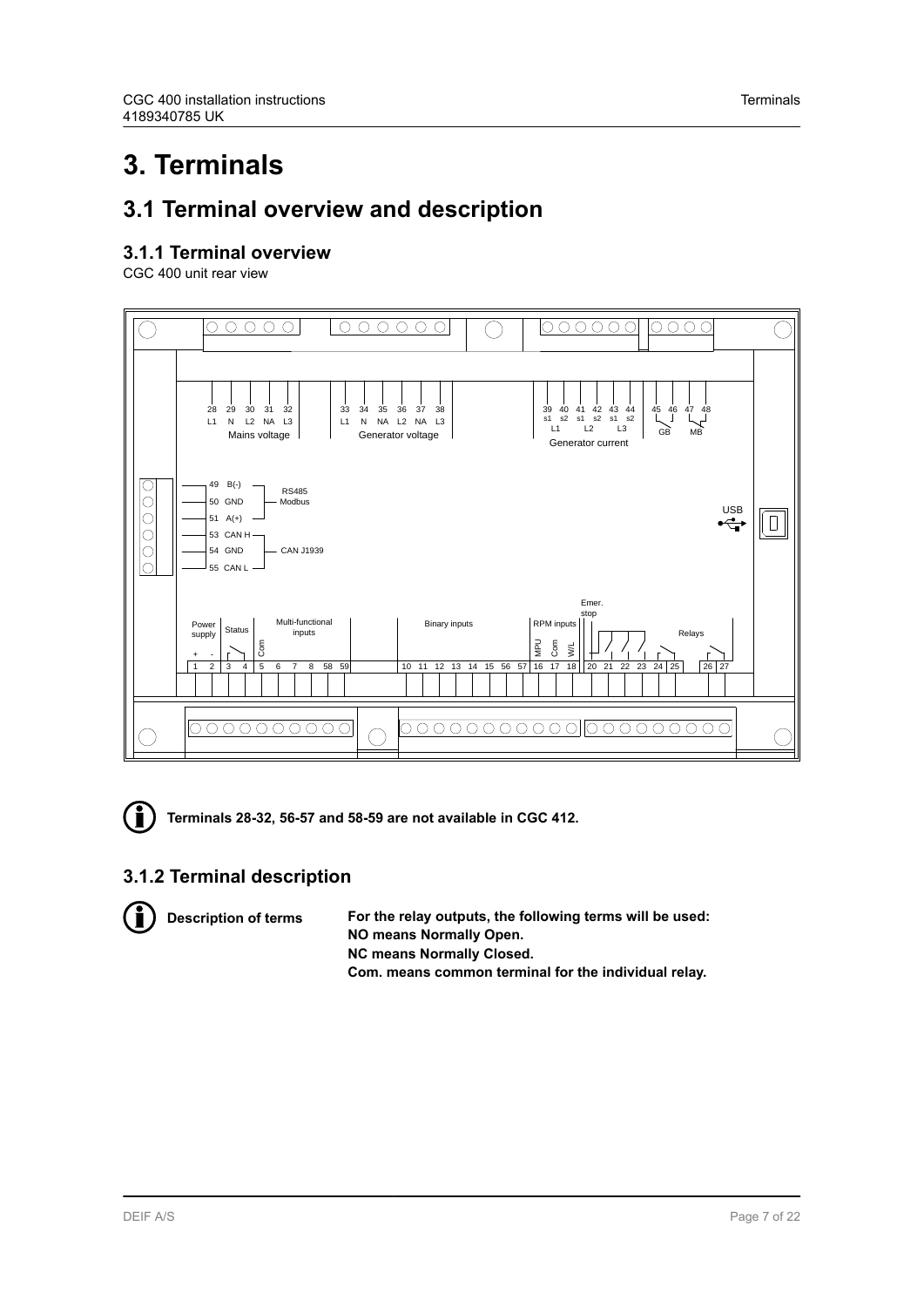## <span id="page-6-0"></span>**3. Terminals**

### **3.1 Terminal overview and description**

#### **3.1.1 Terminal overview**

CGC 400 unit rear view





**Terminals 28-32, 56-57 and 58-59 are not available in CGC 412.**

### **3.1.2 Terminal description**



**Description of terms For the relay outputs, the following terms will be used: NO means Normally Open. NC means Normally Closed. Com. means common terminal for the individual relay.**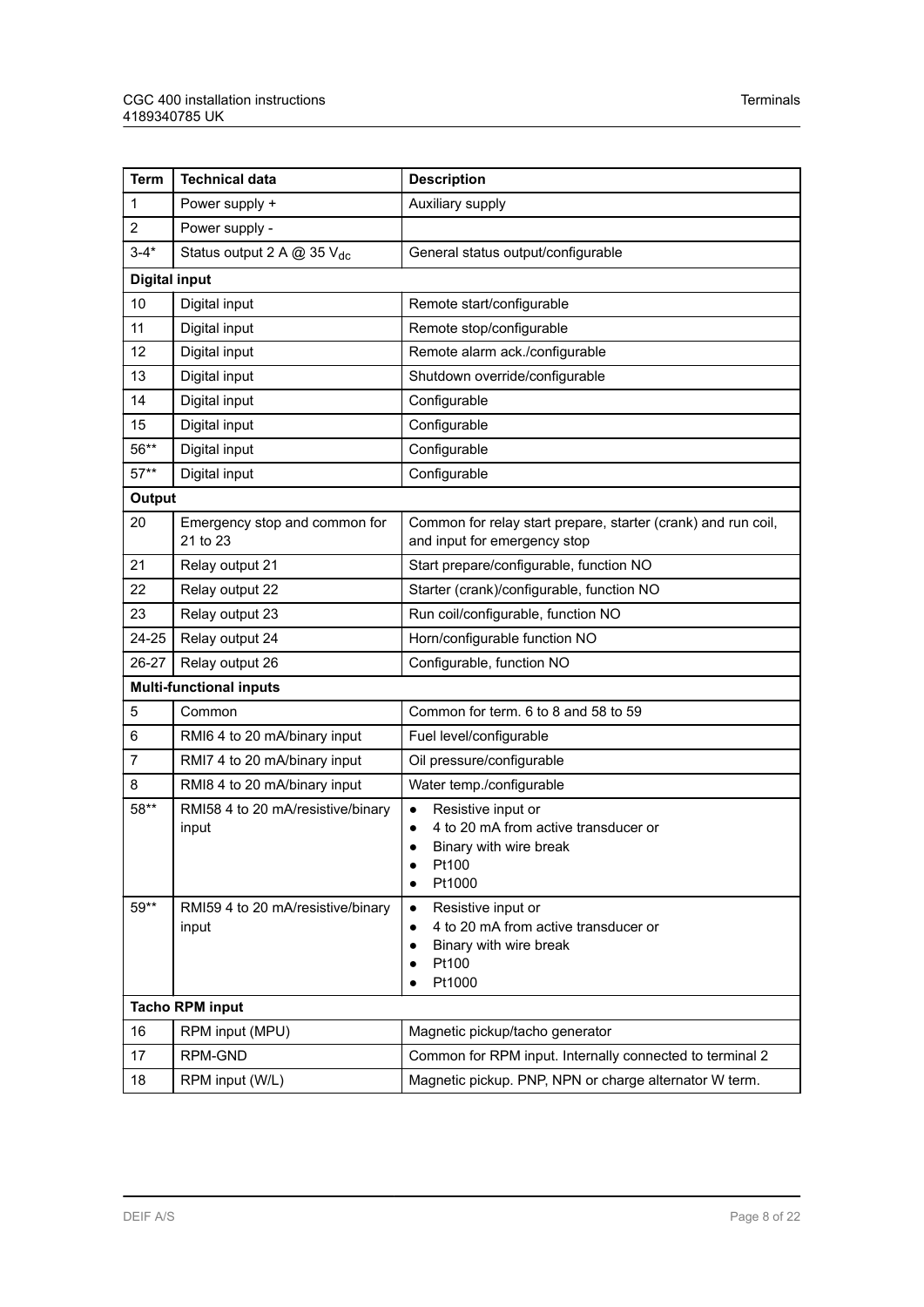| <b>Term</b>            | <b>Technical data</b>                      | <b>Description</b>                                                                                                   |  |  |  |
|------------------------|--------------------------------------------|----------------------------------------------------------------------------------------------------------------------|--|--|--|
| 1                      | Power supply +                             | Auxiliary supply                                                                                                     |  |  |  |
| $\overline{c}$         | Power supply -                             |                                                                                                                      |  |  |  |
| $3 - 4*$               | Status output 2 A @ 35 V <sub>dc</sub>     | General status output/configurable                                                                                   |  |  |  |
|                        | <b>Digital input</b>                       |                                                                                                                      |  |  |  |
| 10                     | Digital input                              | Remote start/configurable                                                                                            |  |  |  |
| 11                     | Digital input                              | Remote stop/configurable                                                                                             |  |  |  |
| 12                     | Digital input                              | Remote alarm ack./configurable                                                                                       |  |  |  |
| 13                     | Digital input                              | Shutdown override/configurable                                                                                       |  |  |  |
| 14                     | Digital input                              | Configurable                                                                                                         |  |  |  |
| 15                     | Digital input                              | Configurable                                                                                                         |  |  |  |
| 56**                   | Digital input                              | Configurable                                                                                                         |  |  |  |
| $57**$                 | Digital input                              | Configurable                                                                                                         |  |  |  |
| <b>Output</b>          |                                            |                                                                                                                      |  |  |  |
| 20                     | Emergency stop and common for<br>21 to 23  | Common for relay start prepare, starter (crank) and run coil,<br>and input for emergency stop                        |  |  |  |
| 21                     | Relay output 21                            | Start prepare/configurable, function NO                                                                              |  |  |  |
| 22                     | Relay output 22                            | Starter (crank)/configurable, function NO                                                                            |  |  |  |
| 23                     | Relay output 23                            | Run coil/configurable, function NO                                                                                   |  |  |  |
| 24-25                  | Relay output 24                            | Horn/configurable function NO                                                                                        |  |  |  |
| 26-27                  | Relay output 26                            | Configurable, function NO                                                                                            |  |  |  |
|                        | <b>Multi-functional inputs</b>             |                                                                                                                      |  |  |  |
| 5                      | Common                                     | Common for term. 6 to 8 and 58 to 59                                                                                 |  |  |  |
| 6                      | RMI6 4 to 20 mA/binary input               | Fuel level/configurable                                                                                              |  |  |  |
| 7                      | RMI7 4 to 20 mA/binary input               | Oil pressure/configurable                                                                                            |  |  |  |
| 8                      | RMI8 4 to 20 mA/binary input               | Water temp./configurable                                                                                             |  |  |  |
| 58**                   | RMI58 4 to 20 mA/resistive/binary<br>input | Resistive input or<br>4 to 20 mA from active transducer or<br>Binary with wire break<br>Pt100<br>Pt1000              |  |  |  |
| $59**$                 | RMI59 4 to 20 mA/resistive/binary<br>input | Resistive input or<br>$\bullet$<br>4 to 20 mA from active transducer or<br>Binary with wire break<br>Pt100<br>Pt1000 |  |  |  |
| <b>Tacho RPM input</b> |                                            |                                                                                                                      |  |  |  |
| 16                     | RPM input (MPU)                            | Magnetic pickup/tacho generator                                                                                      |  |  |  |
| 17                     | RPM-GND                                    | Common for RPM input. Internally connected to terminal 2                                                             |  |  |  |
| 18                     | RPM input (W/L)                            | Magnetic pickup. PNP, NPN or charge alternator W term.                                                               |  |  |  |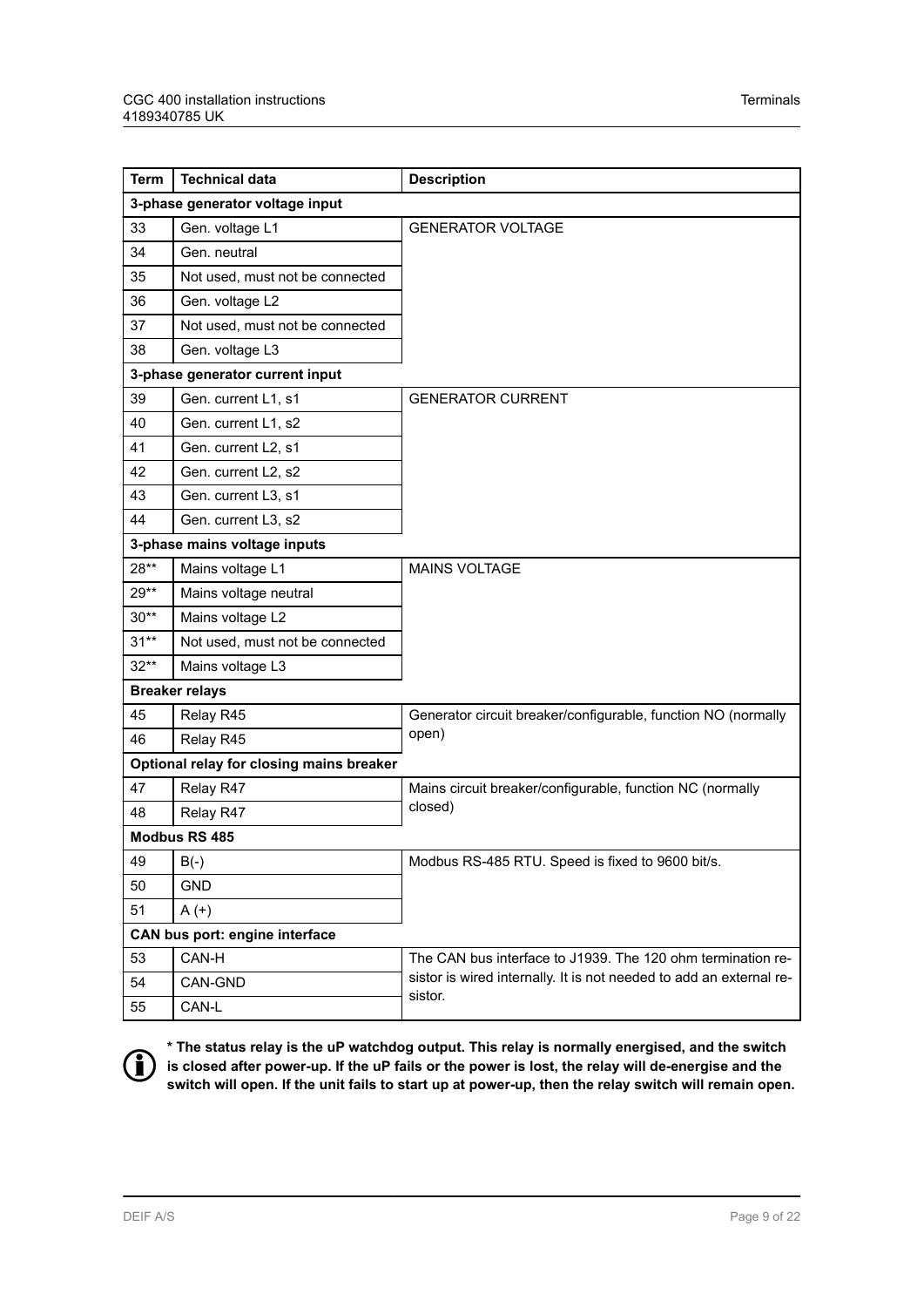| <b>Term</b> | <b>Technical data</b>                    | <b>Description</b>                                                             |  |  |  |
|-------------|------------------------------------------|--------------------------------------------------------------------------------|--|--|--|
|             | 3-phase generator voltage input          |                                                                                |  |  |  |
| 33          | Gen. voltage L1                          | <b>GENERATOR VOLTAGE</b>                                                       |  |  |  |
| 34          | Gen. neutral                             |                                                                                |  |  |  |
| 35          | Not used, must not be connected          |                                                                                |  |  |  |
| 36          | Gen. voltage L2                          |                                                                                |  |  |  |
| 37          | Not used, must not be connected          |                                                                                |  |  |  |
| 38          | Gen. voltage L3                          |                                                                                |  |  |  |
|             | 3-phase generator current input          |                                                                                |  |  |  |
| 39          | Gen. current L1, s1                      | <b>GENERATOR CURRENT</b>                                                       |  |  |  |
| 40          | Gen. current L1, s2                      |                                                                                |  |  |  |
| 41          | Gen. current L2, s1                      |                                                                                |  |  |  |
| 42          | Gen. current L2, s2                      |                                                                                |  |  |  |
| 43          | Gen. current L3, s1                      |                                                                                |  |  |  |
| 44          | Gen. current L3, s2                      |                                                                                |  |  |  |
|             | 3-phase mains voltage inputs             |                                                                                |  |  |  |
| 28**        | Mains voltage L1                         | <b>MAINS VOLTAGE</b>                                                           |  |  |  |
| $29**$      | Mains voltage neutral                    |                                                                                |  |  |  |
| $30**$      | Mains voltage L2                         |                                                                                |  |  |  |
| $31**$      | Not used, must not be connected          |                                                                                |  |  |  |
| $32**$      | Mains voltage L3                         |                                                                                |  |  |  |
|             | <b>Breaker relays</b>                    |                                                                                |  |  |  |
| 45          | Relay R45                                | Generator circuit breaker/configurable, function NO (normally                  |  |  |  |
| 46          | Relay R45                                | open)                                                                          |  |  |  |
|             | Optional relay for closing mains breaker |                                                                                |  |  |  |
| 47          | Relay R47                                | Mains circuit breaker/configurable, function NC (normally                      |  |  |  |
| 48          | Relay R47                                | closed)                                                                        |  |  |  |
|             | Modbus RS 485                            |                                                                                |  |  |  |
| 49          | $B(-)$                                   | Modbus RS-485 RTU. Speed is fixed to 9600 bit/s.                               |  |  |  |
| 50          | <b>GND</b>                               |                                                                                |  |  |  |
| 51          | $A (+)$                                  |                                                                                |  |  |  |
|             | CAN bus port: engine interface           |                                                                                |  |  |  |
| 53          | CAN-H                                    | The CAN bus interface to J1939. The 120 ohm termination re-                    |  |  |  |
| 54          | CAN-GND                                  | sistor is wired internally. It is not needed to add an external re-<br>sistor. |  |  |  |
| 55          | CAN-L                                    |                                                                                |  |  |  |



**\* The status relay is the uP watchdog output. This relay is normally energised, and the switch is closed after power-up. If the uP fails or the power is lost, the relay will de-energise and the switch will open. If the unit fails to start up at power-up, then the relay switch will remain open.**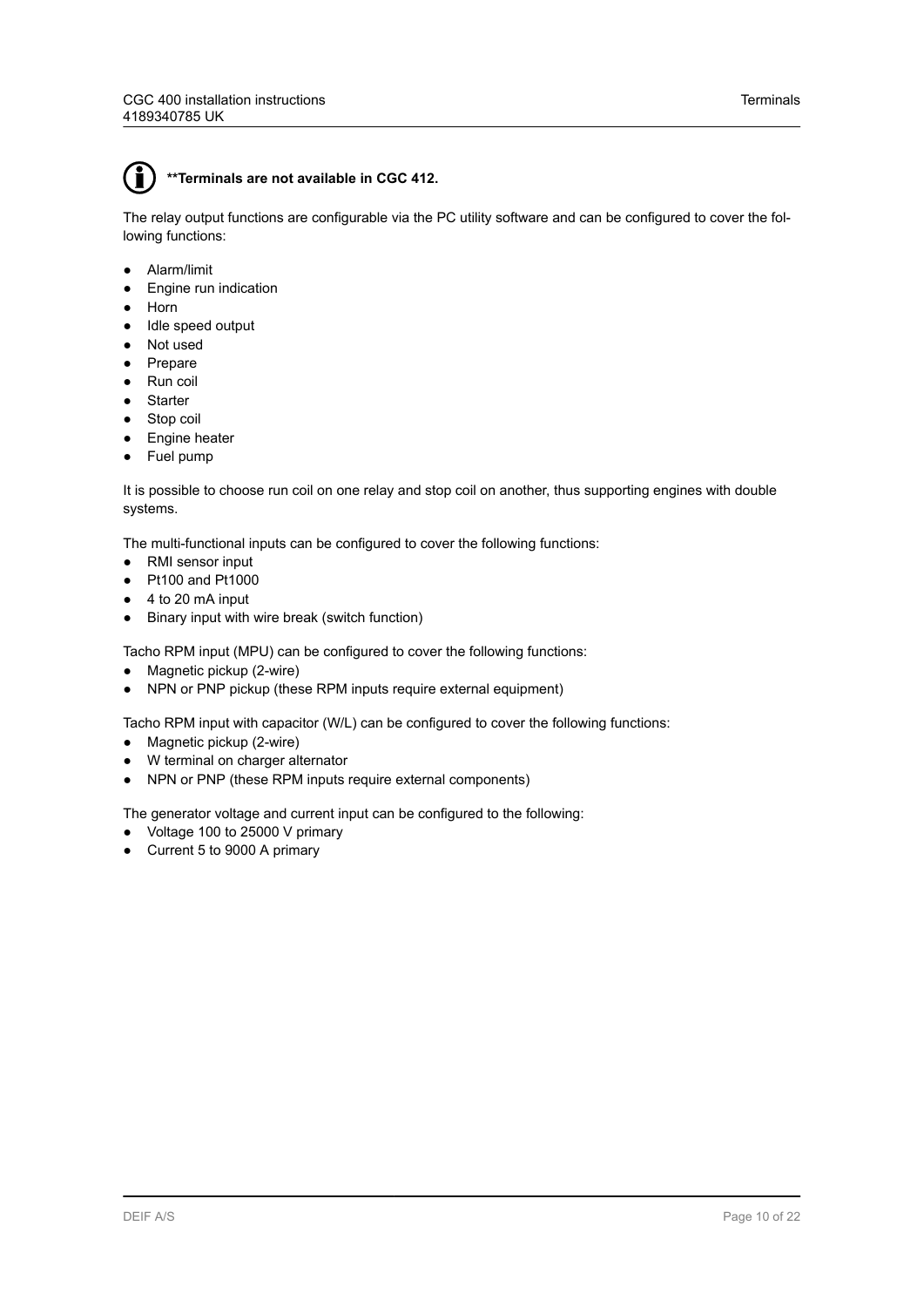The relay output functions are configurable via the PC utility software and can be configured to cover the following functions:

- Alarm/limit
- Engine run indication
- Horn
- Idle speed output
- Not used
- Prepare
- Run coil
- Starter
- Stop coil
- Engine heater
- Fuel pump

It is possible to choose run coil on one relay and stop coil on another, thus supporting engines with double systems.

The multi-functional inputs can be configured to cover the following functions:

- RMI sensor input
- Pt100 and Pt1000
- 4 to 20 mA input
- Binary input with wire break (switch function)

Tacho RPM input (MPU) can be configured to cover the following functions:

- Magnetic pickup (2-wire)
- NPN or PNP pickup (these RPM inputs require external equipment)

Tacho RPM input with capacitor (W/L) can be configured to cover the following functions:

- Magnetic pickup (2-wire)
- W terminal on charger alternator
- NPN or PNP (these RPM inputs require external components)

The generator voltage and current input can be configured to the following:

- Voltage 100 to 25000 V primary
- Current 5 to 9000 A primary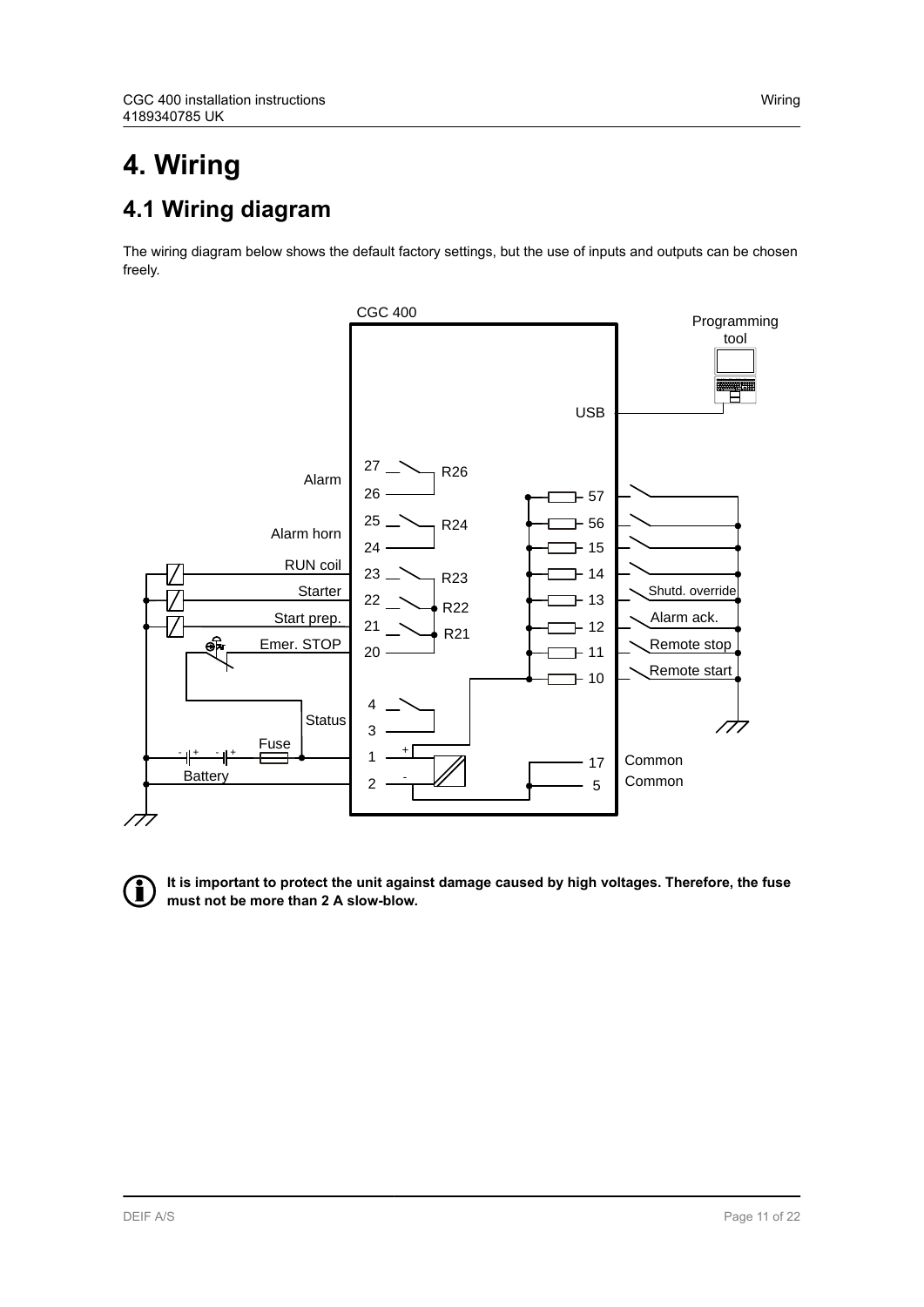## <span id="page-10-0"></span>**4. Wiring 4.1 Wiring diagram**

The wiring diagram below shows the default factory settings, but the use of inputs and outputs can be chosen freely.



**It is important to protect the unit against damage caused by high voltages. Therefore, the fuse must not be more than 2 A slow-blow.**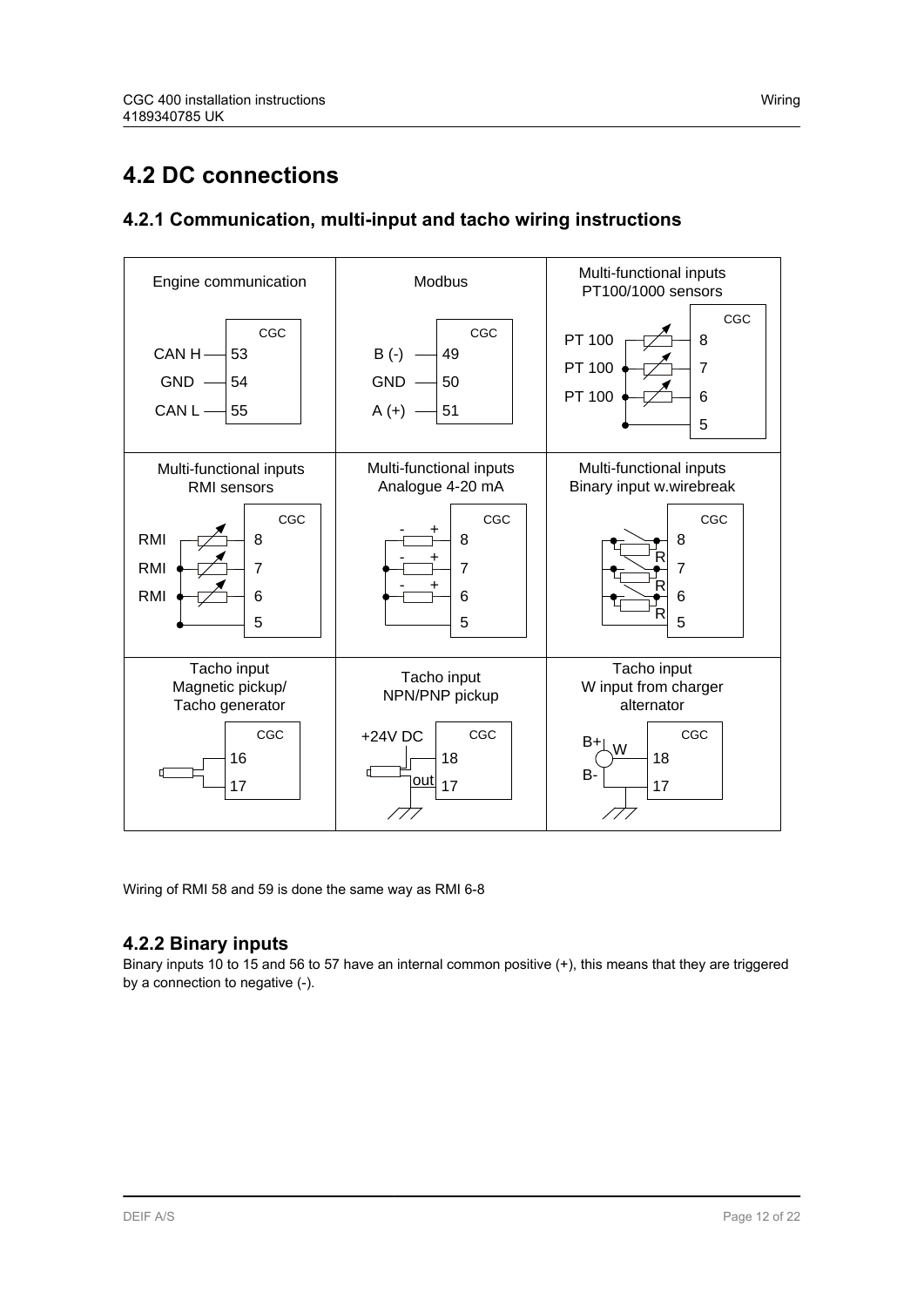### <span id="page-11-0"></span>**4.2 DC connections**

### **4.2.1 Communication, multi-input and tacho wiring instructions**



Wiring of RMI 58 and 59 is done the same way as RMI 6-8

#### **4.2.2 Binary inputs**

Binary inputs 10 to 15 and 56 to 57 have an internal common positive (+), this means that they are triggered by a connection to negative (-).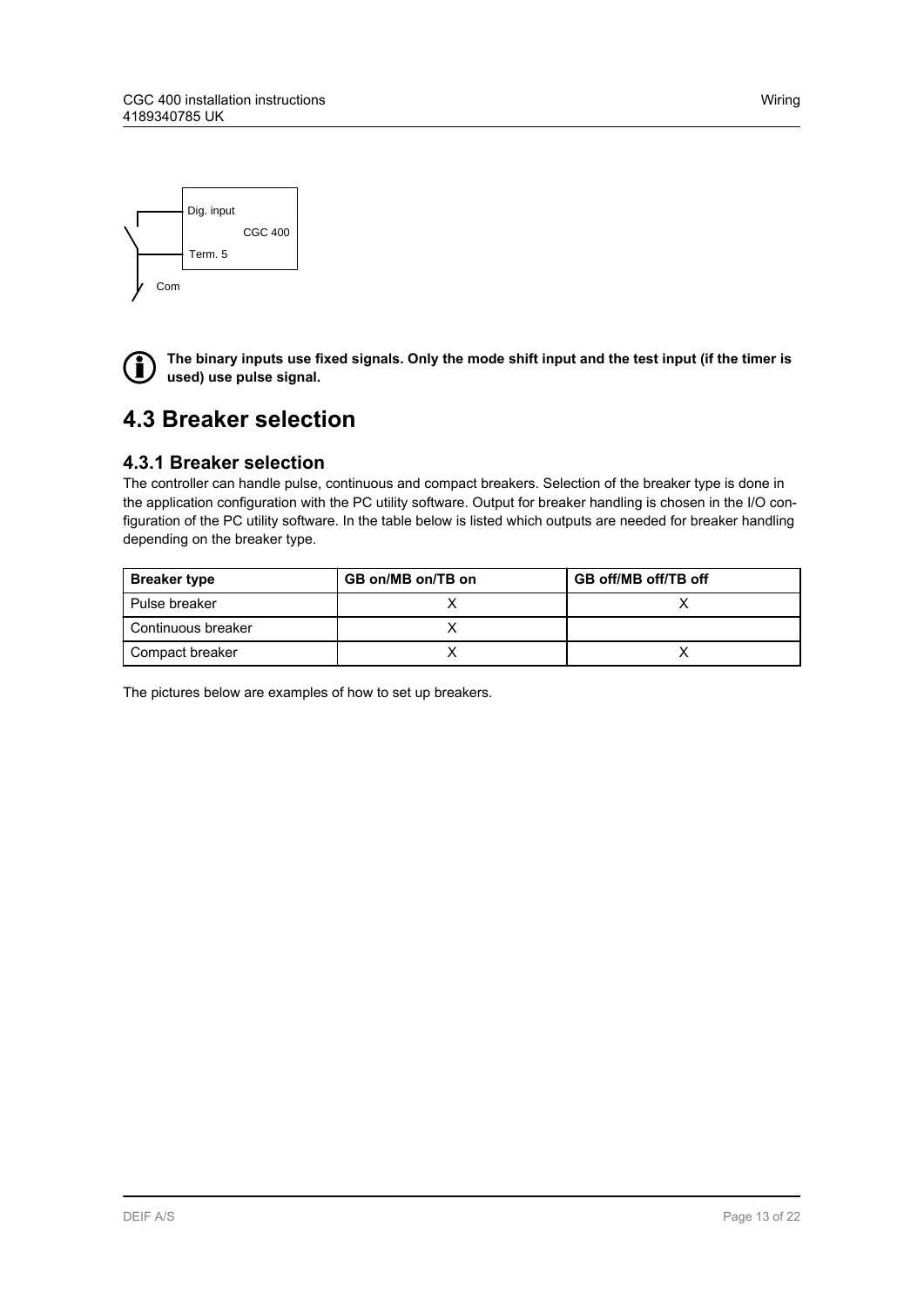<span id="page-12-0"></span>



**The binary inputs use fixed signals. Only the mode shift input and the test input (if the timer is used) use pulse signal.**

### **4.3 Breaker selection**

#### **4.3.1 Breaker selection**

The controller can handle pulse, continuous and compact breakers. Selection of the breaker type is done in the application configuration with the PC utility software. Output for breaker handling is chosen in the I/O configuration of the PC utility software. In the table below is listed which outputs are needed for breaker handling depending on the breaker type.

| <b>Breaker type</b> | GB on/MB on/TB on | GB off/MB off/TB off |  |
|---------------------|-------------------|----------------------|--|
| Pulse breaker       |                   |                      |  |
| Continuous breaker  |                   |                      |  |
| Compact breaker     |                   |                      |  |

The pictures below are examples of how to set up breakers.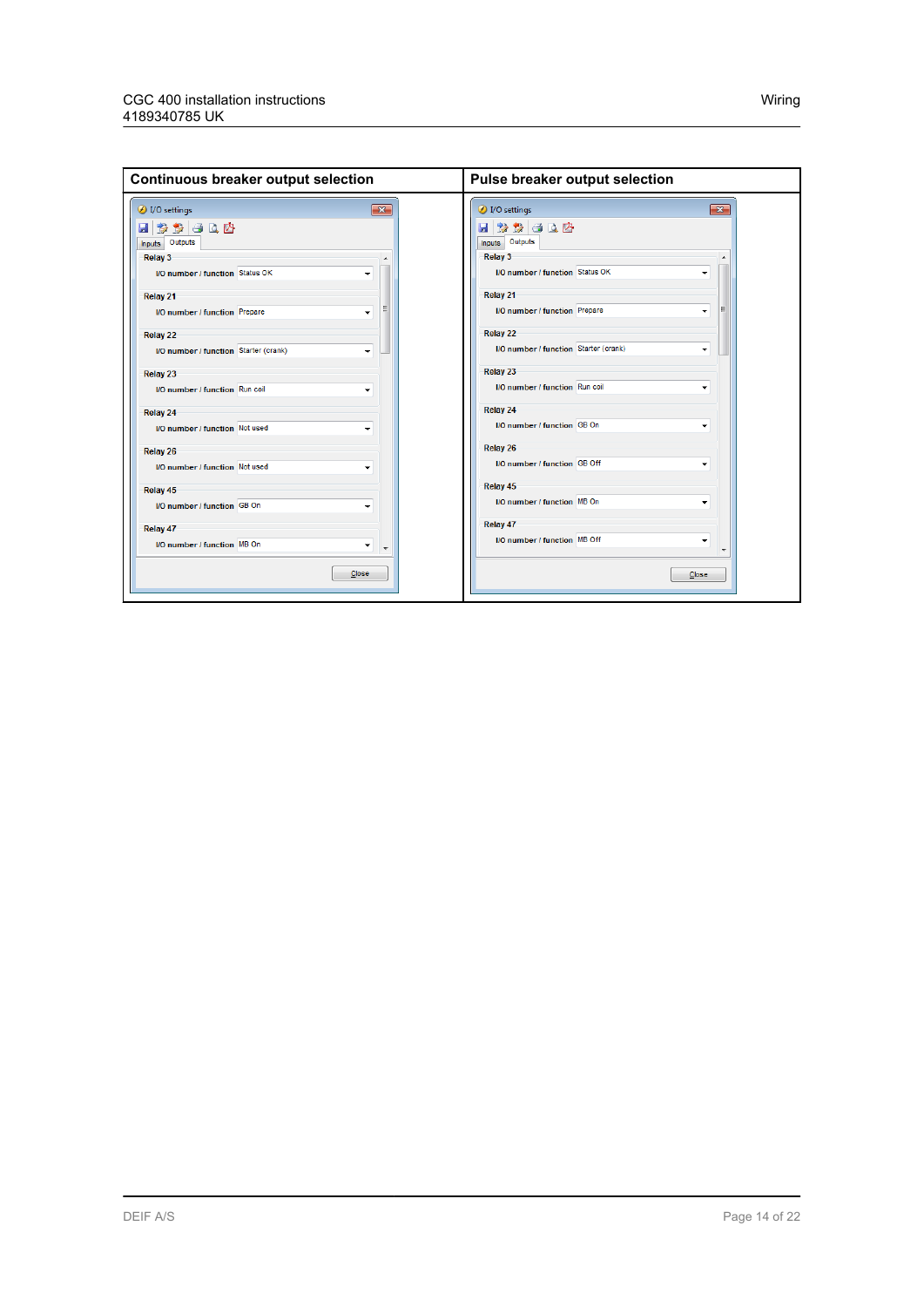| $\overline{\mathbf{x}}$<br>$\overline{\mathbf{x}}$<br>1/O settings<br>VO settings<br>日多多日日内<br>다 이 상 쉿 모<br>Inputs Outputs<br>Inputs Outputs<br>Relay 3<br><b>Relay 3</b><br>I/O number / function Status OK<br>I/O number / function Status OK<br>۰<br>Relay 21<br>Relay 21<br>I/O number / function Prepare<br>I/O number / function Prepare<br>۰<br><b>Relay 22</b><br><b>Relay 22</b><br>I/O number / function Starter (crank)<br>I/O number / function Starter (crank)<br>۰<br>Relay 23<br>Relay 23<br>I/O number / function Run coil<br>I/O number / function Run coil<br>۰<br>Relay 24<br>Relay 24<br>I/O number / function GB On<br><b>I/O number / function Not used</b><br><b>Relay 26</b><br>Relay 26<br>I/O number / function GB Off<br>I/O number / function Not used<br>Relay 45<br>Relay 45<br>I/O number / function MB On<br><b>I/O number / function GB On</b><br>Relay 47<br>Relay 47<br>I/O number / function MB Off<br><b>I/O number / function MB On</b><br>Close<br>Close | <b>Continuous breaker output selection</b> | Pulse breaker output selection |  |
|-------------------------------------------------------------------------------------------------------------------------------------------------------------------------------------------------------------------------------------------------------------------------------------------------------------------------------------------------------------------------------------------------------------------------------------------------------------------------------------------------------------------------------------------------------------------------------------------------------------------------------------------------------------------------------------------------------------------------------------------------------------------------------------------------------------------------------------------------------------------------------------------------------------------------------------------------------------------------------------------------|--------------------------------------------|--------------------------------|--|
|                                                                                                                                                                                                                                                                                                                                                                                                                                                                                                                                                                                                                                                                                                                                                                                                                                                                                                                                                                                                 |                                            |                                |  |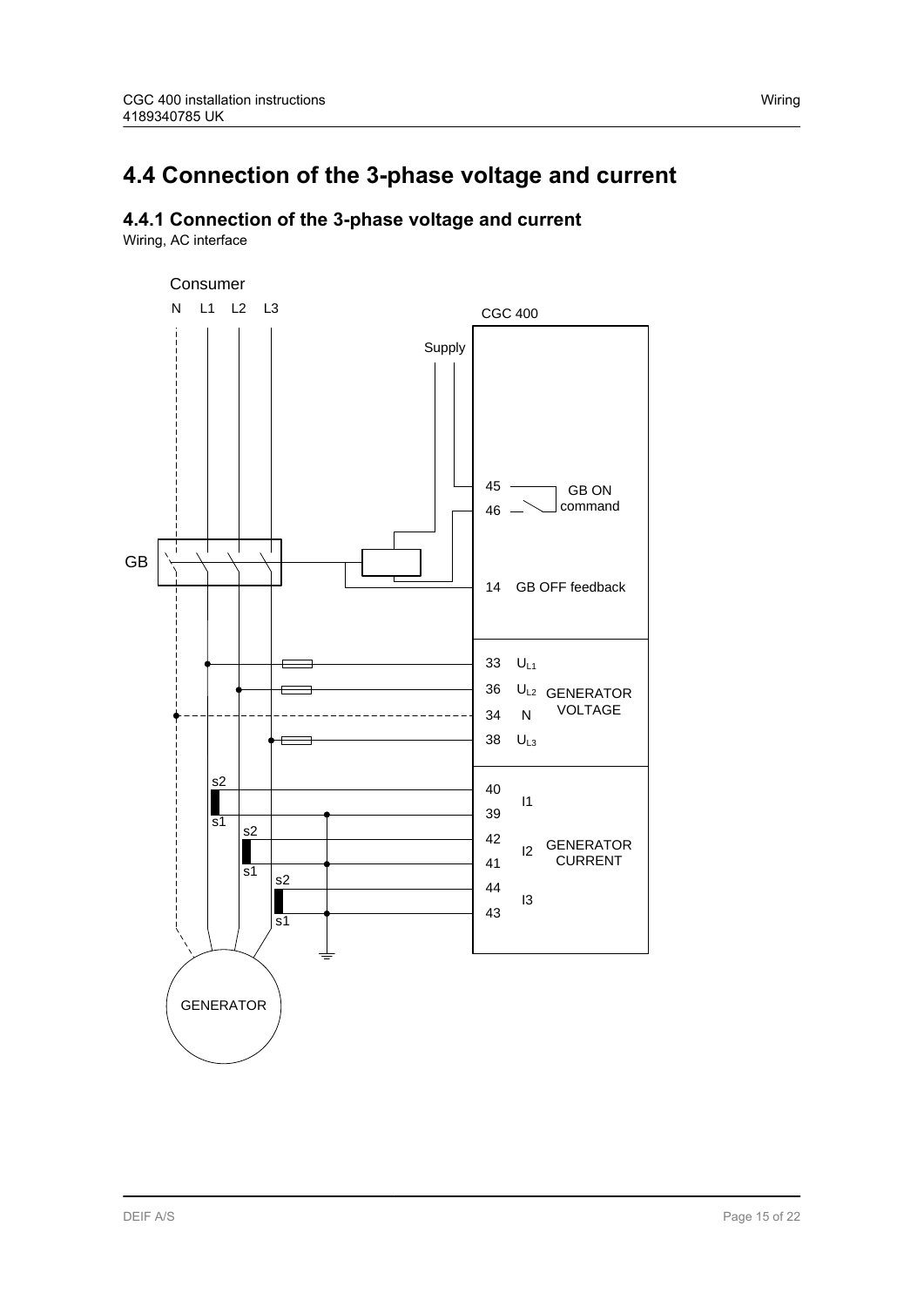### <span id="page-14-0"></span>**4.4 Connection of the 3-phase voltage and current**

### **4.4.1 Connection of the 3-phase voltage and current**

Wiring, AC interface

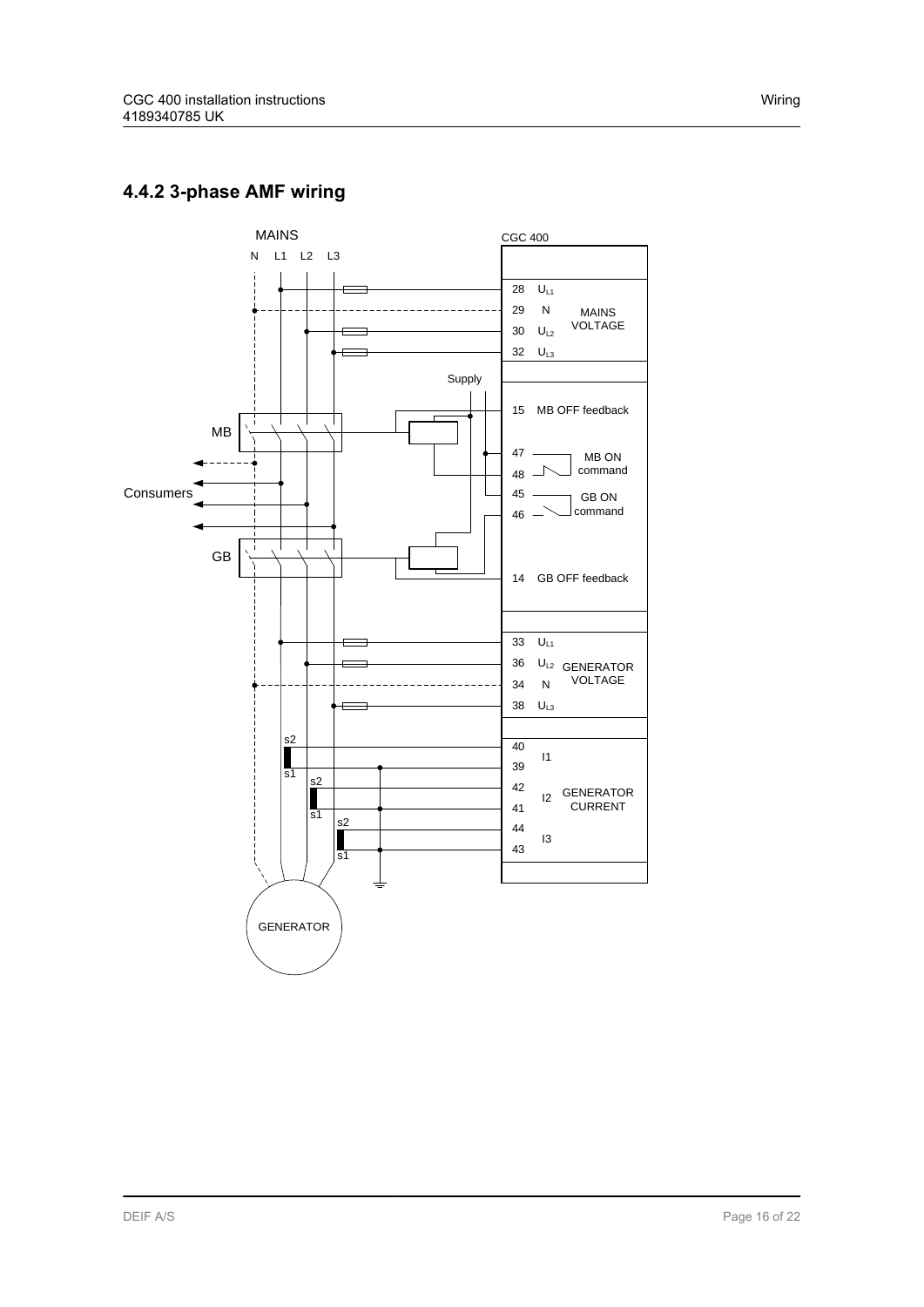### <span id="page-15-0"></span>**4.4.2 3-phase AMF wiring**

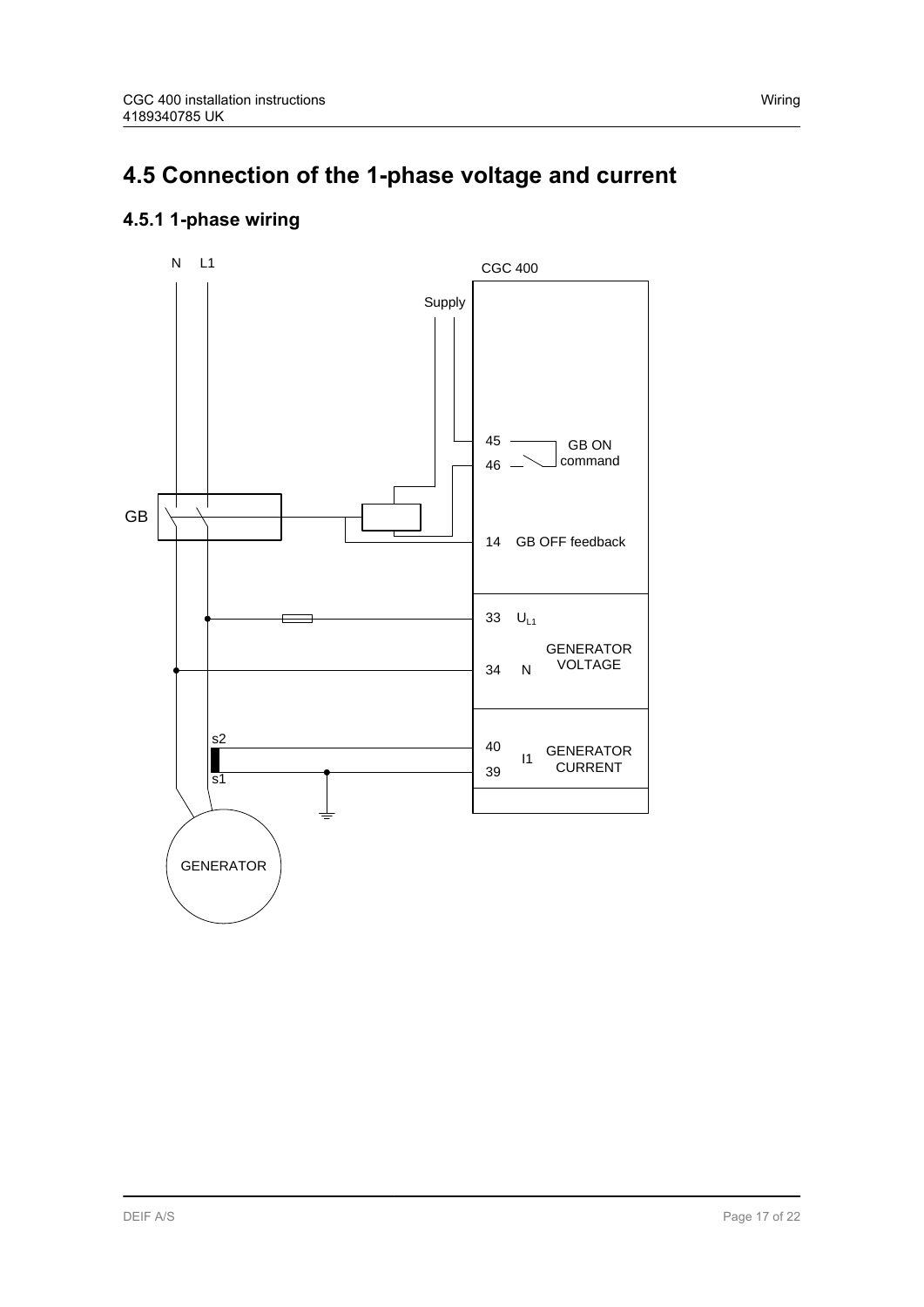## <span id="page-16-0"></span>**4.5 Connection of the 1-phase voltage and current**

### **4.5.1 1-phase wiring**

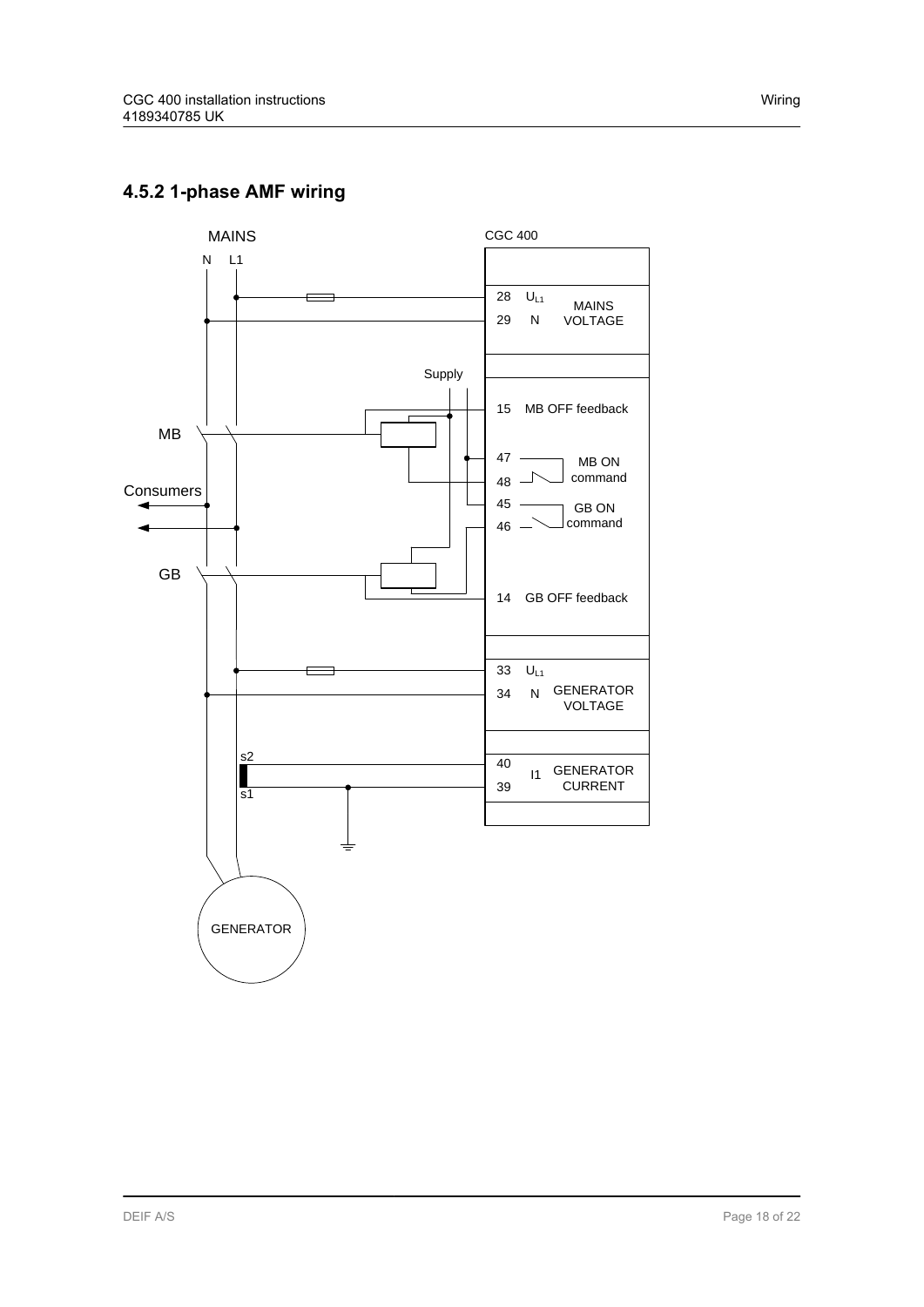### <span id="page-17-0"></span>**4.5.2 1-phase AMF wiring**

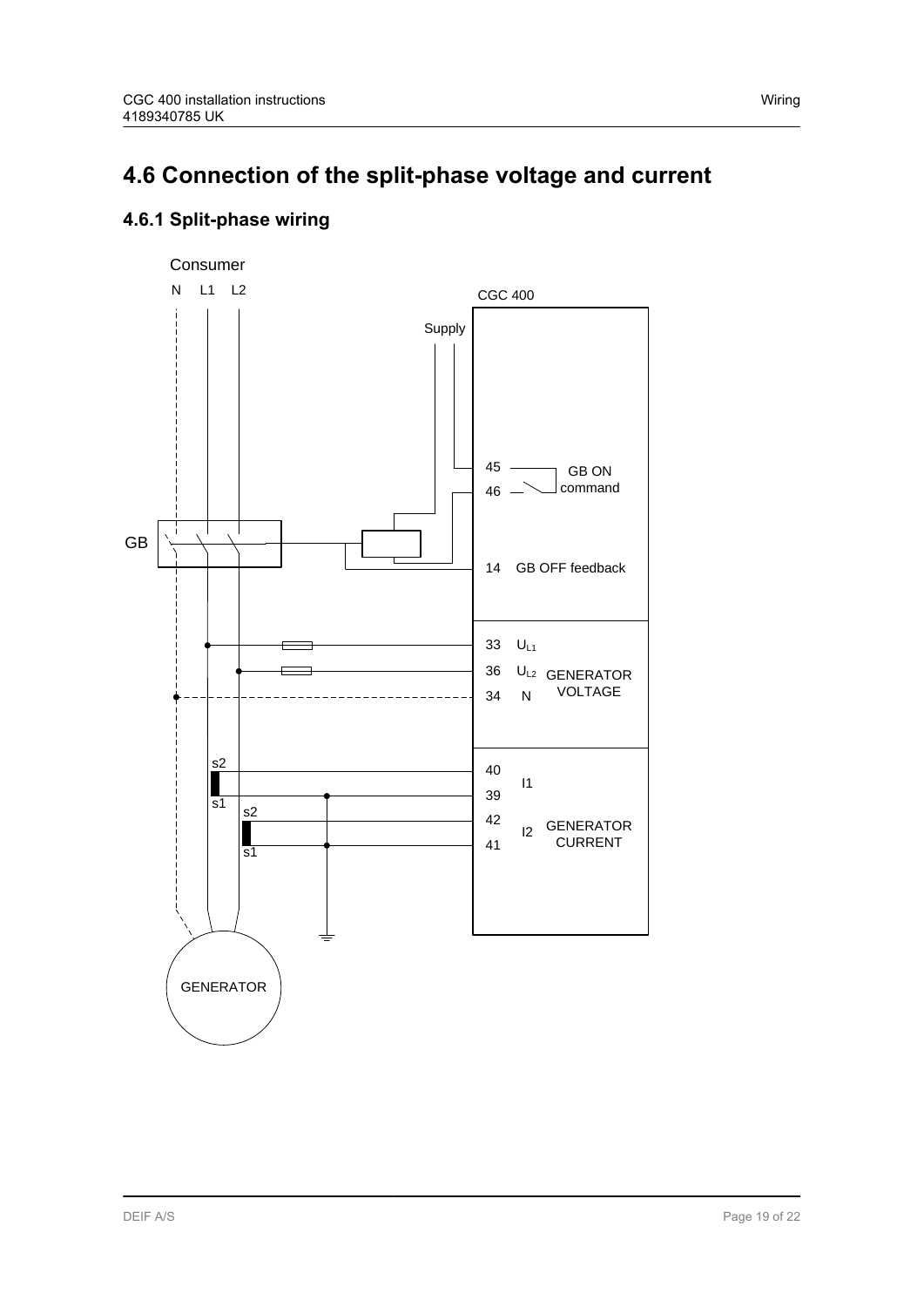## <span id="page-18-0"></span>**4.6 Connection of the split-phase voltage and current**

### **4.6.1 Split-phase wiring**

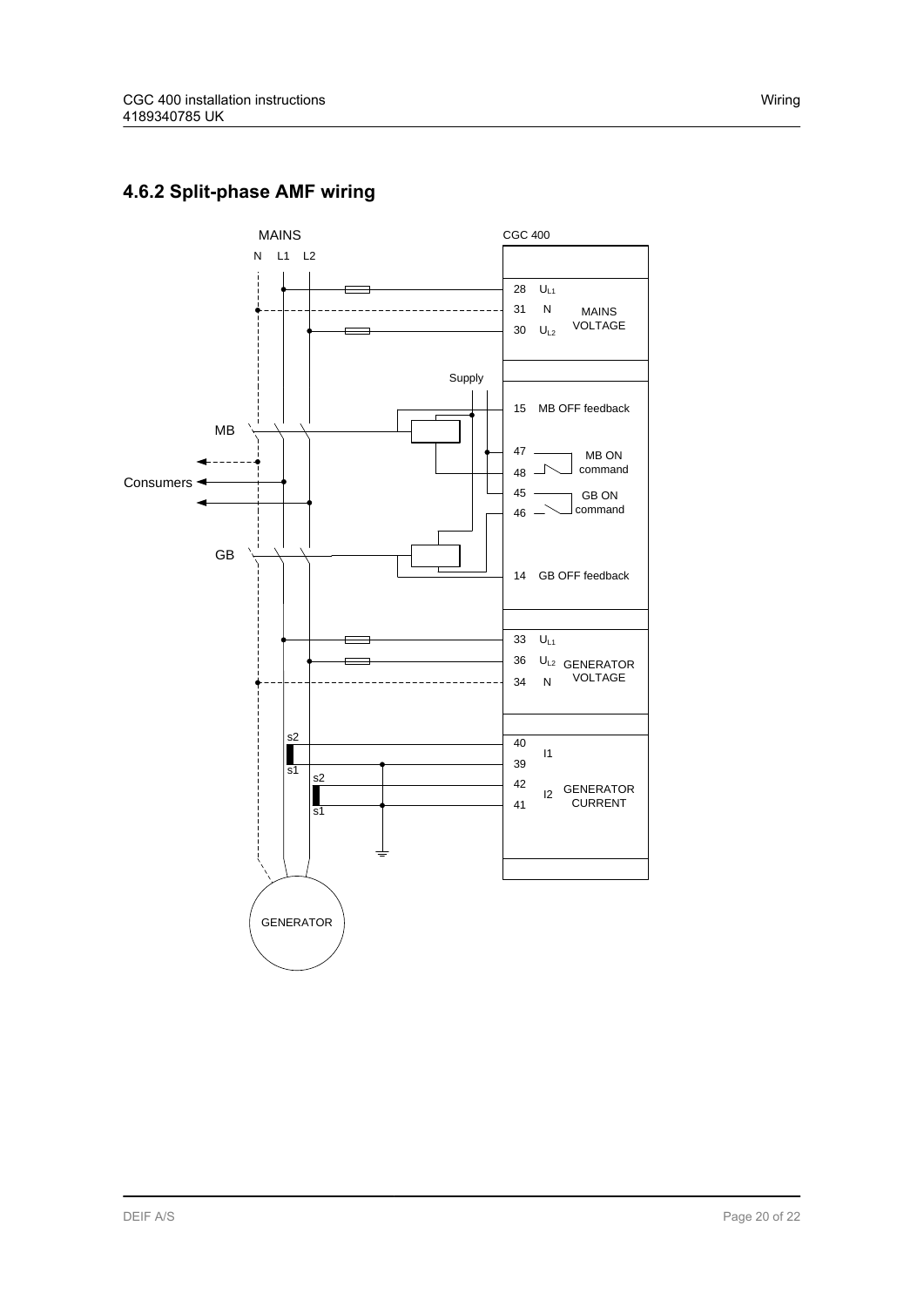

### <span id="page-19-0"></span>**4.6.2 Split-phase AMF wiring**

MAINS N L1 L2

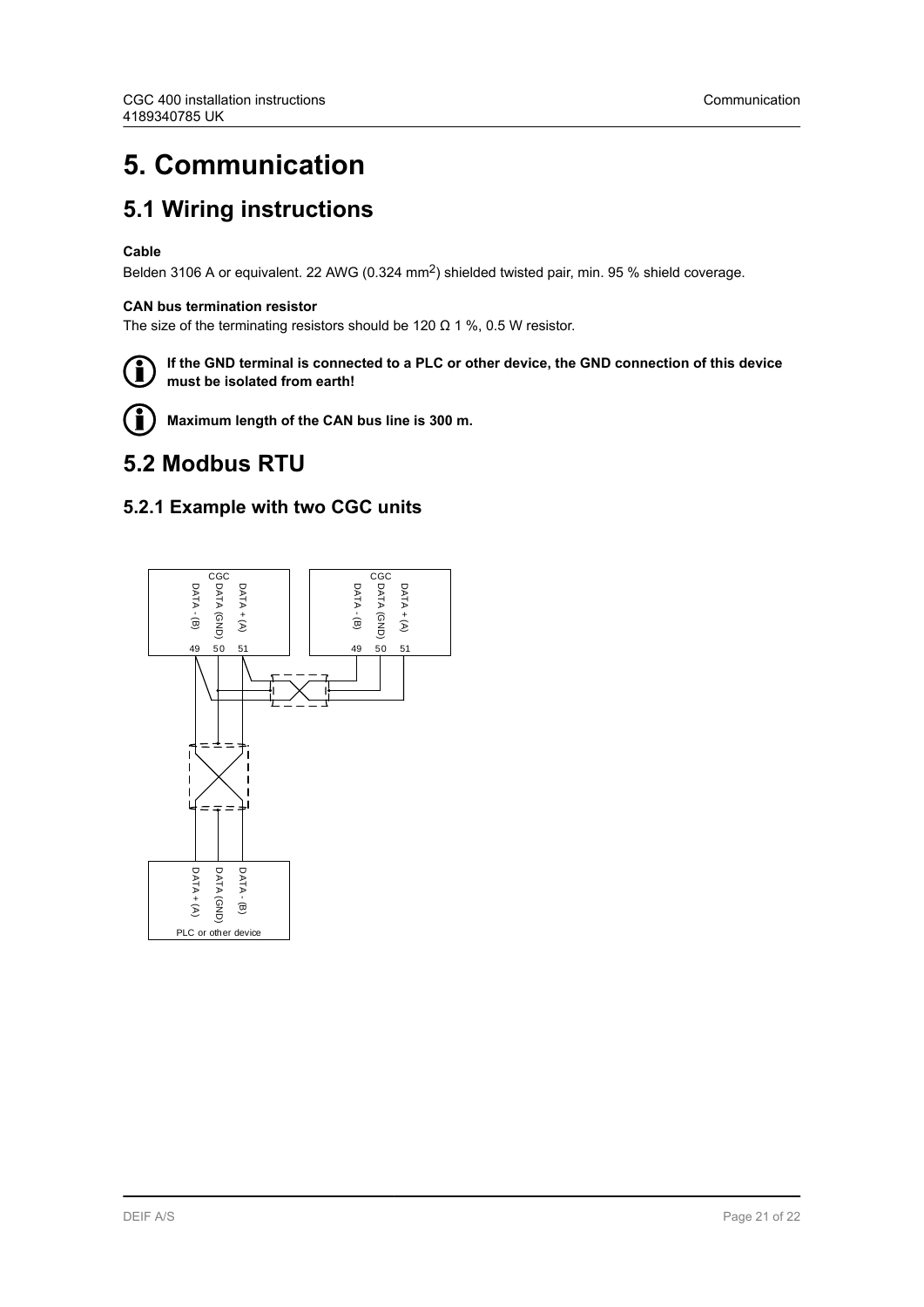## <span id="page-20-0"></span>**5. Communication**

### **5.1 Wiring instructions**

#### **Cable**

Belden 3106 A or equivalent. 22 AWG (0.324 mm<sup>2</sup>) shielded twisted pair, min. 95 % shield coverage.

#### **CAN bus termination resistor**

The size of the terminating resistors should be 120  $\Omega$  1 %, 0.5 W resistor.



**If the GND terminal is connected to a PLC or other device, the GND connection of this device must be isolated from earth!**



**Maximum length of the CAN bus line is 300 m.**

### **5.2 Modbus RTU**

### **5.2.1 Example with two CGC units**